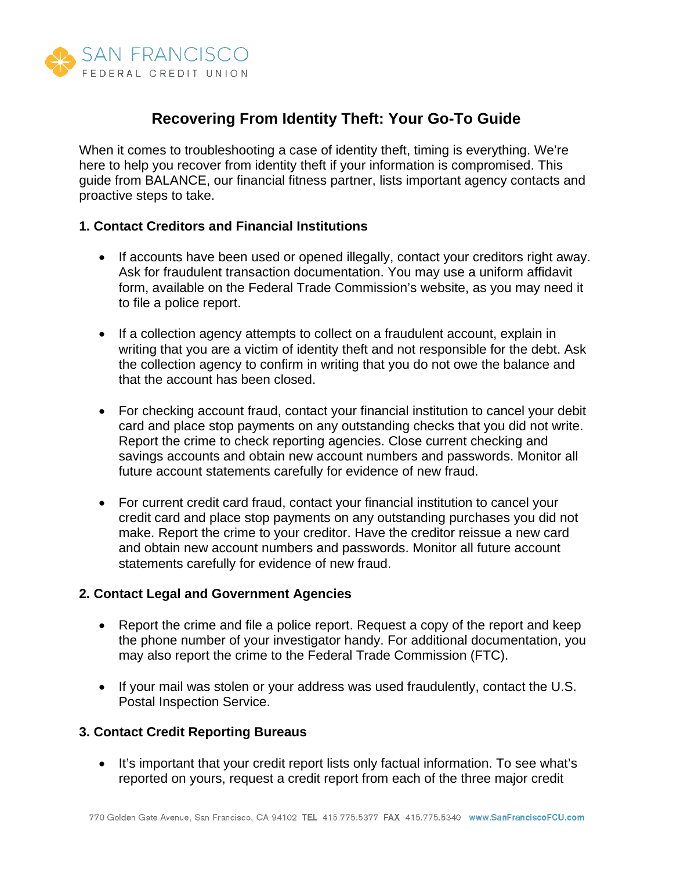

# **Recovering From Identity Theft: Your Go-To Guide**

When it comes to troubleshooting a case of identity theft, timing is everything. We're here to help you recover from identity theft if your information is compromised. This guide from BALANCE, our financial fitness partner, lists important agency contacts and proactive steps to take.

### **1. Contact Creditors and Financial Institutions**

- If accounts have been used or opened illegally, contact your creditors right away. Ask for fraudulent transaction documentation. You may use a uniform affidavit form, available on the Federal Trade Commission's website, as you may need it to file a police report.
- If a collection agency attempts to collect on a fraudulent account, explain in writing that you are a victim of identity theft and not responsible for the debt. Ask the collection agency to confirm in writing that you do not owe the balance and that the account has been closed.
- For checking account fraud, contact your financial institution to cancel your debit card and place stop payments on any outstanding checks that you did not write. Report the crime to check reporting agencies. Close current checking and savings accounts and obtain new account numbers and passwords. Monitor all future account statements carefully for evidence of new fraud.
- For current credit card fraud, contact your financial institution to cancel your credit card and place stop payments on any outstanding purchases you did not make. Report the crime to your creditor. Have the creditor reissue a new card and obtain new account numbers and passwords. Monitor all future account statements carefully for evidence of new fraud.

## **2. Contact Legal and Government Agencies**

- Report the crime and file a police report. Request a copy of the report and keep the phone number of your investigator handy. For additional documentation, you may also report the crime to the Federal Trade Commission (FTC).
- If your mail was stolen or your address was used fraudulently, contact the U.S. Postal Inspection Service.

## **3. Contact Credit Reporting Bureaus**

• It's important that your credit report lists only factual information. To see what's reported on yours, request a credit report from each of the three major credit